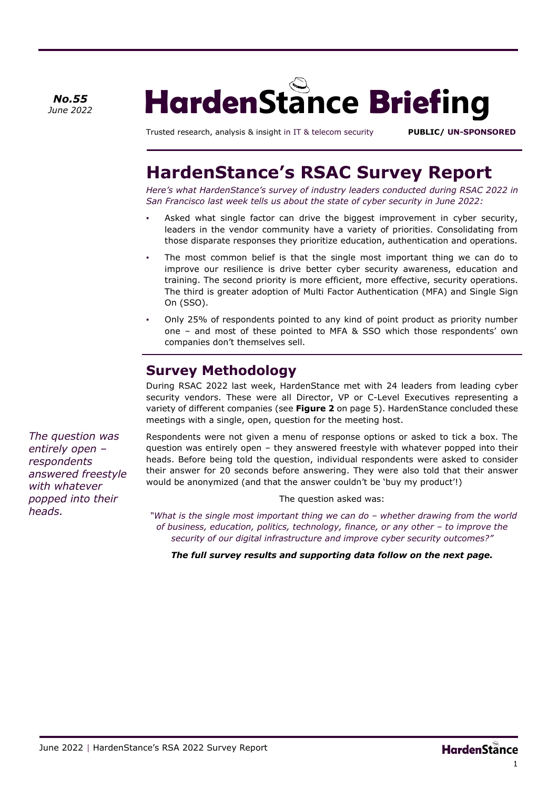*June 2022* 

**HardenStance Briefing** *No.55*

Trusted research, analysis & insight in IT & telecom security **PUBLIC/ UN-SPONSORED**

# **HardenStance's RSAC Survey Report**

*Here's what HardenStance's survey of industry leaders conducted during RSAC 2022 in San Francisco last week tells us about the state of cyber security in June 2022:*

- Asked what single factor can drive the biggest improvement in cyber security, leaders in the vendor community have a variety of priorities. Consolidating from those disparate responses they prioritize education, authentication and operations.
- The most common belief is that the single most important thing we can do to improve our resilience is drive better cyber security awareness, education and training. The second priority is more efficient, more effective, security operations. The third is greater adoption of Multi Factor Authentication (MFA) and Single Sign On (SSO).
- Only 25% of respondents pointed to any kind of point product as priority number one – and most of these pointed to MFA & SSO which those respondents' own companies don't themselves sell.

### **Survey Methodology**

During RSAC 2022 last week, HardenStance met with 24 leaders from leading cyber security vendors. These were all Director, VP or C-Level Executives representing a variety of different companies (see **Figure 2** on page 5). HardenStance concluded these meetings with a single, open, question for the meeting host.

Respondents were not given a menu of response options or asked to tick a box. The question was entirely open – they answered freestyle with whatever popped into their heads. Before being told the question, individual respondents were asked to consider their answer for 20 seconds before answering. They were also told that their answer would be anonymized (and that the answer couldn't be 'buy my product'!)

The question asked was:

*"What is the single most important thing we can do – whether drawing from the world of business, education, politics, technology, finance, or any other – to improve the security of our digital infrastructure and improve cyber security outcomes?"*

*The full survey results and supporting data follow on the next page.*

*The question was entirely open – respondents answered freestyle with whatever popped into their heads.*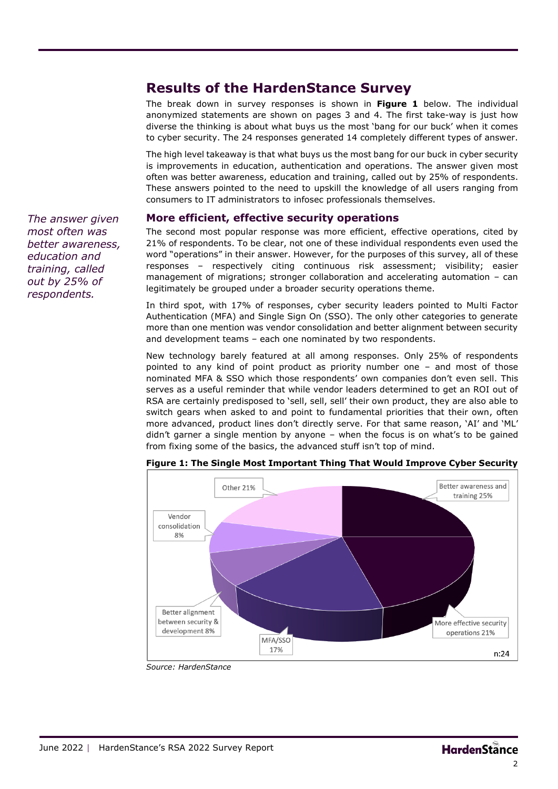#### **Results of the HardenStance Survey**

The break down in survey responses is shown in **Figure 1** below. The individual anonymized statements are shown on pages 3 and 4. The first take-way is just how diverse the thinking is about what buys us the most 'bang for our buck' when it comes to cyber security. The 24 responses generated 14 completely different types of answer.

The high level takeaway is that what buys us the most bang for our buck in cyber security is improvements in education, authentication and operations. The answer given most often was better awareness, education and training, called out by 25% of respondents. These answers pointed to the need to upskill the knowledge of all users ranging from consumers to IT administrators to infosec professionals themselves.

#### **More efficient, effective security operations**

The second most popular response was more efficient, effective operations, cited by 21% of respondents. To be clear, not one of these individual respondents even used the word "operations" in their answer. However, for the purposes of this survey, all of these responses – respectively citing continuous risk assessment; visibility; easier management of migrations; stronger collaboration and accelerating automation – can legitimately be grouped under a broader security operations theme.

In third spot, with 17% of responses, cyber security leaders pointed to Multi Factor Authentication (MFA) and Single Sign On (SSO). The only other categories to generate more than one mention was vendor consolidation and better alignment between security and development teams – each one nominated by two respondents.

New technology barely featured at all among responses. Only 25% of respondents pointed to any kind of point product as priority number one – and most of those nominated MFA & SSO which those respondents' own companies don't even sell. This serves as a useful reminder that while vendor leaders determined to get an ROI out of RSA are certainly predisposed to 'sell, sell, sell' their own product, they are also able to switch gears when asked to and point to fundamental priorities that their own, often more advanced, product lines don't directly serve. For that same reason, 'AI' and 'ML' didn't garner a single mention by anyone – when the focus is on what's to be gained from fixing some of the basics, the advanced stuff isn't top of mind.



**Figure 1: The Single Most Important Thing That Would Improve Cyber Security**

*Source: HardenStance*

*The answer given most often was better awareness, education and training, called out by 25% of respondents.*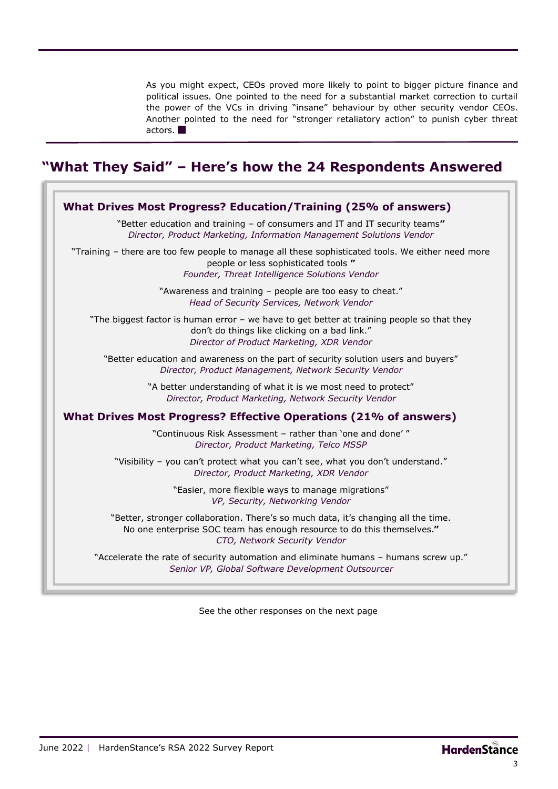As you might expect, CEOs proved more likely to point to bigger picture finance and political issues. One pointed to the need for a substantial market correction to curtail the power of the VCs in driving "insane" behaviour by other security vendor CEOs. Another pointed to the need for "stronger retaliatory action" to punish cyber threat actors.

### **"What They Said" – Here's how the 24 Respondents Answered**

| "Better education and training - of consumers and IT and IT security teams"                                                                                                                  |
|----------------------------------------------------------------------------------------------------------------------------------------------------------------------------------------------|
| Director, Product Marketing, Information Management Solutions Vendor                                                                                                                         |
| "Training - there are too few people to manage all these sophisticated tools. We either need more<br>people or less sophisticated tools "<br>Founder, Threat Intelligence Solutions Vendor   |
| "Awareness and training - people are too easy to cheat."<br>Head of Security Services, Network Vendor                                                                                        |
| "The biggest factor is human error - we have to get better at training people so that they<br>don't do things like clicking on a bad link."<br>Director of Product Marketing, XDR Vendor     |
| "Better education and awareness on the part of security solution users and buyers"<br>Director, Product Management, Network Security Vendor                                                  |
| "A better understanding of what it is we most need to protect"<br>Director, Product Marketing, Network Security Vendor                                                                       |
| What Drives Most Progress? Effective Operations (21% of answers)                                                                                                                             |
| "Continuous Risk Assessment - rather than 'one and done'"<br>Director, Product Marketing, Telco MSSP                                                                                         |
| "Visibility - you can't protect what you can't see, what you don't understand."<br>Director, Product Marketing, XDR Vendor                                                                   |
| "Easier, more flexible ways to manage migrations"<br>VP, Security, Networking Vendor                                                                                                         |
| "Better, stronger collaboration. There's so much data, it's changing all the time.<br>No one enterprise SOC team has enough resource to do this themselves."<br>CTO, Network Security Vendor |
| "Accelerate the rate of security automation and eliminate humans - humans screw up."<br>Senior VP, Global Software Development Outsourcer                                                    |

See the other responses on the next page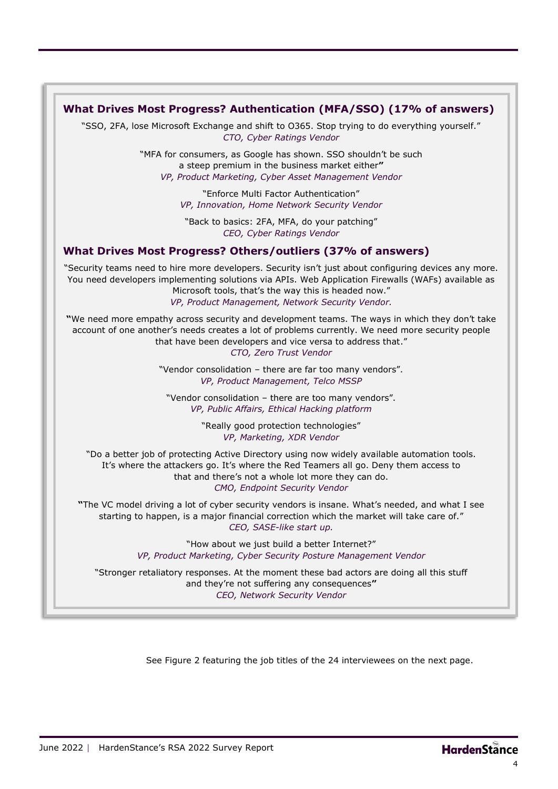#### **What Drives Most Progress? Authentication (MFA/SSO) (17% of answers)**

"SSO, 2FA, lose Microsoft Exchange and shift to O365. Stop trying to do everything yourself." *CTO, Cyber Ratings Vendor*

> "MFA for consumers, as Google has shown. SSO shouldn't be such a steep premium in the business market either**"**  *VP, Product Marketing, Cyber Asset Management Vendor*

> > "Enforce Multi Factor Authentication" *VP, Innovation, Home Network Security Vendor*

"Back to basics: 2FA, MFA, do your patching" *CEO, Cyber Ratings Vendor*

#### **What Drives Most Progress? Others/outliers (37% of answers)**

"Security teams need to hire more developers. Security isn't just about configuring devices any more. You need developers implementing solutions via APIs. Web Application Firewalls (WAFs) available as Microsoft tools, that's the way this is headed now." *VP, Product Management, Network Security Vendor.*

**"**We need more empathy across security and development teams. The ways in which they don't take account of one another's needs creates a lot of problems currently. We need more security people that have been developers and vice versa to address that."

*CTO, Zero Trust Vendor*

"Vendor consolidation – there are far too many vendors". *VP, Product Management, Telco MSSP*

"Vendor consolidation – there are too many vendors". *VP, Public Affairs, Ethical Hacking platform*

> "Really good protection technologies" *VP, Marketing, XDR Vendor*

"Do a better job of protecting Active Directory using now widely available automation tools. It's where the attackers go. It's where the Red Teamers all go. Deny them access to that and there's not a whole lot more they can do. *CMO, Endpoint Security Vendor*

**"**The VC model driving a lot of cyber security vendors is insane. What's needed, and what I see starting to happen, is a major financial correction which the market will take care of." *CEO, SASE-like start up.*

> "How about we just build a better Internet?" *VP, Product Marketing, Cyber Security Posture Management Vendor*

"Stronger retaliatory responses. At the moment these bad actors are doing all this stuff and they're not suffering any consequences**"**  *CEO, Network Security Vendor*

See Figure 2 featuring the job titles of the 24 interviewees on the next page.